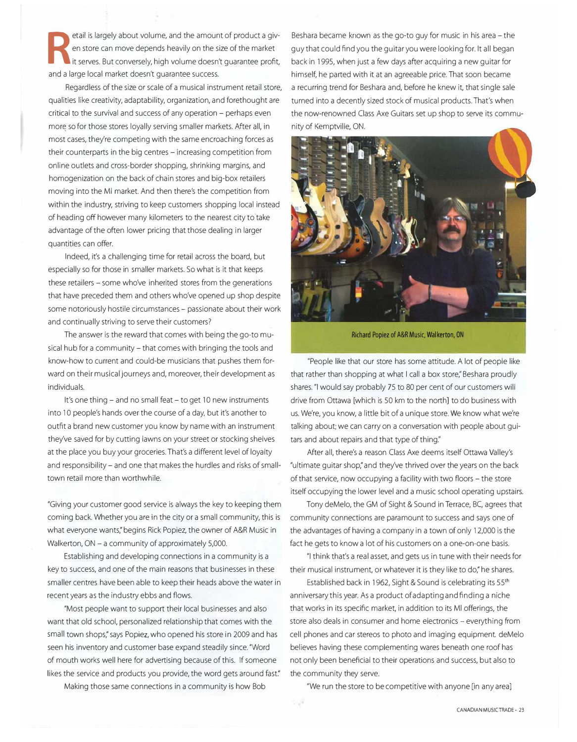etail is largely about volume, and the amoun<br>en store can move depends heavily on the si<br>it serves. But conversely, high volume doesn't<br>and a large local market doesn't guarantee success. etail is largely about volume, and the amount of product a given store can move depends heavily on the size of the market it serves. But conversely, high volume doesn't guarantee profit,

Regardless of the size or scale of a musical instrument retail store, qualities like creativity, adaptability, organization, and forethought are critical to the survival and success of any operation - perhaps even more so for those stores loyally serving smaller markets. After all, in most cases, they're competing with the same encroaching forces as their counterparts in the big centres - increasing competition from online outlets and cross-border shopping, shrinking margins, and homogenization on the back of chain stores and big-box retailers moving into the Ml market. And then there's the competition from within the industry, striving to keep customers shopping local instead of heading off however many kilometers to the nearest city to take advantage of the often lower pricing that those dealing in larger quantities can offer.

Indeed, it's a challenging time for retail across the board, but especially so for those in smaller markets. So what is it that keeps these retailers - some who've inherited stores from the generations that have preceded them and others who've opened up shop despite some notoriously hostile circumstances - passionate about their work and continually striving to serve their customers?

The answer is the reward that comes with being the go-to musical hub for a community - that comes with bringing the tools and know-how to current and could-be musicians that pushes them forward on their musical journeys and, moreover, their development as individuals.

It's one thing - and no small feat - to get 10 new instruments into 10 people's hands over the course of a day, but it's another to outfit a brand new customer you know by name with an instrument they've saved for by cutting lawns on your street or stocking shelves at the place you buy your groceries. That's a different level of loyalty and responsibility - and one that makes the hurdles and risks of smalltown retail more than worthwhile.

•Giving your customer good service is always the key to keeping them coming back. Whether you are in the city or a small community, this is what everyone wants," begins Rick Popiez, the owner of A&R Music in Walkerton, ON - a community of approximately 5,000.

Establishing and developing connections in a community is a key to success, and one of the main reasons that businesses in these smaller centres have been able to keep their heads above the water in recent years as the industry ebbs and flows.

•Most people want to support their local businesses and also want that old school, personalized relationship that comes with the small town shops," says Popiez, who opened his store in 2009 and has seen his inventory and customer base expand steadily since. "Word of mouth works well here for advertising because of this. If someone likes the service and products you provide, the word gets around fast."

Making those same connections in a community is how Bob

Beshara became known as the go-to guy for music in his area - the guy that could find you the guitar you were looking for. It all began back in 1995, when just a few days after acquiring a new guitar for himself, he parted with it at an agreeable price. That soon became a recurring trend for Beshara and, before he knew it, that single sale turned into a decently sized stock of musical products. That's when the now-renowned Class Axe Guitars set up shop to serve its community of Kemptville, ON.



**Richard Popiez of A&R Music, Walkerton, ON** 

·People like that our store has some attitude. A lot of people like that rather than shopping at what I call a box store," Beshara proudly shares. "I would say probably 75 to 80 per cent of our customers will drive from Ottawa [which is 50 km to the north] to do business with us. We're, you know, a little bit of a unique store. We know what we're talking about; we can carry on a conversation with people about guitars and about repairs and that type of thing."

After all, there's a reason Class Axe deems itself Ottawa Valley's "ultimate guitar shop," and they've thrived over the years on the back of that service, now occupying a facility with two floors - the store itself occupying the lower level and a music school operating upstairs.

Tony deMelo, the GM of Sight & Sound in Terrace, BC, agrees that community connections are paramount to success and says one of the advantages of having a company in a town of only 12,000 is the fact he gets to know a lot of his customers on a one-on-one basis.

·1 think that's a real asset, and gets us in tune with their needs for their musical instrument, or whatever it is they like to do," he shares.

Established back in 1962, Sight & Sound is celebrating its 55th anniversary this year. As a product of adapting and finding a niche that works in its specific market, in addition to its Ml offerings, the store also deals in consumer and home electronics - everything from cell phones and car stereos to photo and imaging equipment. deMelo believes having these complementing wares beneath one roof has not only been beneficial to their operations and success, but also to the community they serve.

"We run the store to be competitive with anyone [in any area]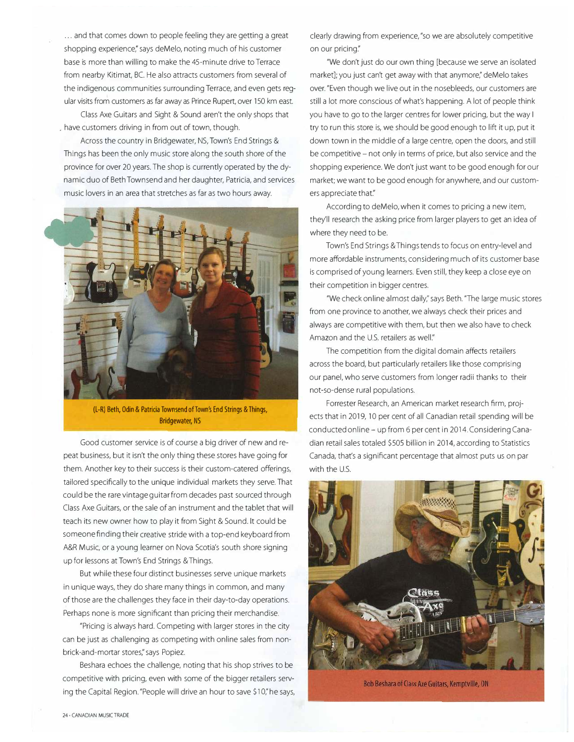... and that comes down to people feeling they are getting a great shopping experience;' says deMelo, noting much of his customer base is more than willing to make the 45-minute drive to Terrace from nearby Kitimat, BC. He also attracts customers from several of the indigenous communities surrounding Terrace, and even gets regular visits from customers as far away as Prince Rupert, over 150 km east.

Class Axe Guitars and Sight & Sound aren't the only shops that . have customers driving in from out of town, though.

Across the country in Bridgewater, NS, Town's End Strings & Things has been the only music store along the south shore of the province for over 20 years. The shop is currently operated by the dynamic duo of Beth Townsend and her daughter, Patricia, and services music lovers in an area that stretches as far as two hours away.



**(L-R) Beth, Odin & Patricia Townsend of Town's End Strings & Things, Bridgewater, NS** 

Good customer service is of course a big driver of new and repeat business, but it isn't the only thing these stores have going for them. Another key to their success is their custom-catered offerings, tailored specifically to the unique individual markets they serve. That could be the rare vintage guitar from decades past sourced through Class Axe Guitars, or the sale of an instrument and the tablet that will teach its new owner how to play it from Sight & Sound. It could be someone finding their creative stride with a top-end keyboard from A&R Music, or a young learner on Nova Scotia's south shore signing up for lessons at Town's End Strings & Things.

But while these four distinct businesses serve unique markets in unique ways, they do share many things in common, and many of those are the challenges they face in their day-to-day operations. Perhaps none is more significant than pricing their merchandise.

"Pricing is always hard. Competing with larger stores in the city can be just as challenging as competing with online sales from nonbrick-and-mortar stores," says Popiez.

Beshara echoes the challenge, noting that his shop strives to be competitive with pricing, even with some of the bigger retailers serving the Capital Region. "People will drive an hour to save \$10," he says, clearly drawing from experience, "so we are absolutely competitive on our pricing:'

"We don't just do our own thing [because we serve an isolated market]; you just can't get away with that anymore," deMelo takes over. "Even though we live out in the nosebleeds, our customers are still a lot more conscious of what's happening. A lot of people think you have to go to the larger centres for lower pricing, but the way I try to run this store is, we should be good enough to lift it up, put it down town in the middle of a large centre, open the doors, and still be competitive - not only in terms of price, but also service and the shopping experience. We don't just want to be good enough for our market; we want to be good enough for anywhere, and our customers appreciate that."

According to deMelo, when it comes to pricing a new item, they'll research the asking price from larger players to get an idea of where they need to be.

Town's End Strings & Things tends to focus on entry-level and more affordable instruments, considering much of its customer base is comprised of young learners. Even still, they keep a close eye on their competition in bigger centres.

"We check online almost daily," says Beth. "The large music stores from one province to another, we always check their prices and always are competitive with them, but then we also have to check Amazon and the U.S. retailers as well."

The competition from the digital domain affects retailers across the board, but particularly retailers like those comprising our panel, who serve customers from longer radii thanks to their not-so-dense rural populations.

Forrester Research, an American market research firm, projects that in 2019, 10 per cent of all Canadian retail spending will be conducted online - up from 6 per cent in 2014. Considering Canadian retail sales totaled \$505 billion in 2014, according to Statistics Canada, that's a significant percentage that almost puts us on par with the U.S.



Bob Beshara of Class Axe Guitars, Kemptville, ON